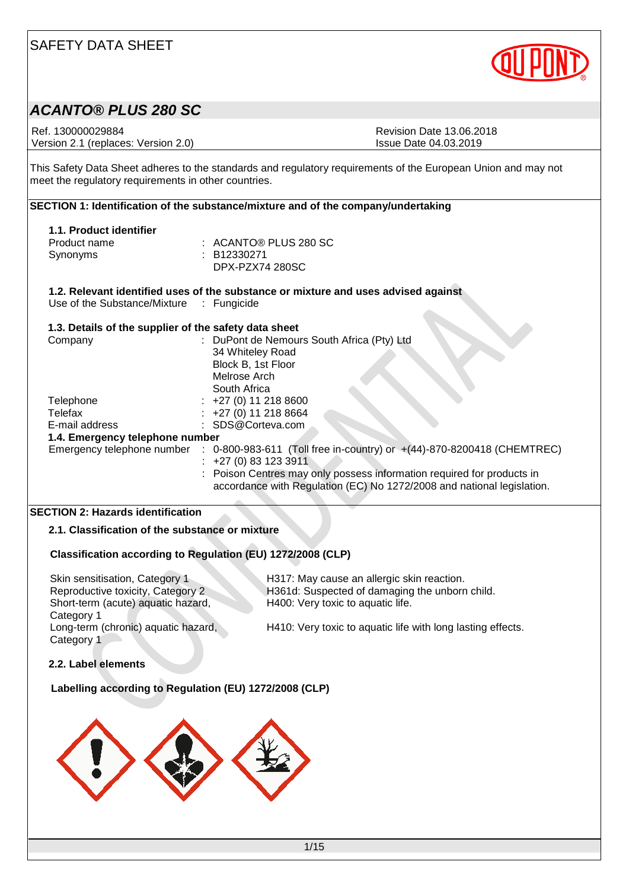

# *ACANTO® PLUS 280 SC*

Ref. 130000029884 Revision Date 13.06.2018 Version 2.1 (replaces: Version 2.0) Issue Date 04.03.2019

This Safety Data Sheet adheres to the standards and regulatory requirements of the European Union and may not meet the regulatory requirements in other countries.

|                                                       | SECTION 1: Identification of the substance/mixture and of the company/undertaking                 |
|-------------------------------------------------------|---------------------------------------------------------------------------------------------------|
| 1.1. Product identifier                               |                                                                                                   |
| Product name                                          | $:$ ACANTO® PLUS 280 SC                                                                           |
| Synonyms                                              | : B12330271                                                                                       |
|                                                       | DPX-PZX74 280SC                                                                                   |
|                                                       | 1.2. Relevant identified uses of the substance or mixture and uses advised against                |
| Use of the Substance/Mixture : Fungicide              |                                                                                                   |
| 1.3. Details of the supplier of the safety data sheet |                                                                                                   |
| Company                                               | : DuPont de Nemours South Africa (Pty) Ltd                                                        |
|                                                       | 34 Whiteley Road                                                                                  |
|                                                       | Block B, 1st Floor                                                                                |
|                                                       | Melrose Arch                                                                                      |
|                                                       | South Africa                                                                                      |
| Telephone                                             | $\div$ +27 (0) 11 218 8600                                                                        |
| Telefax                                               | $: +27(0)$ 11 218 8664                                                                            |
| E-mail address                                        | : SDS@Corteva.com                                                                                 |
| 1.4. Emergency telephone number                       |                                                                                                   |
|                                                       | Emergency telephone number : 0-800-983-611 (Toll free in-country) or +(44)-870-8200418 (CHEMTREC) |
|                                                       | $: +27(0)831233911$                                                                               |
|                                                       | : Poison Centres may only possess information required for products in                            |
|                                                       | accordance with Regulation (EC) No 1272/2008 and national legislation.                            |
|                                                       |                                                                                                   |

### **SECTION 2: Hazards identification**

**2.1. Classification of the substance or mixture**

### **Classification according to Regulation (EU) 1272/2008 (CLP)**

Skin sensitisation, Category 1 H317: May cause an allergic skin reaction. Short-term (acute) aquatic hazard, Category 1 Long-term (chronic) aquatic hazard, Category 1

Reproductive toxicity, Category 2 H361d: Suspected of damaging the unborn child. H400: Very toxic to aquatic life.

H410: Very toxic to aquatic life with long lasting effects.

#### **2.2. Label elements**

#### **Labelling according to Regulation (EU) 1272/2008 (CLP)**

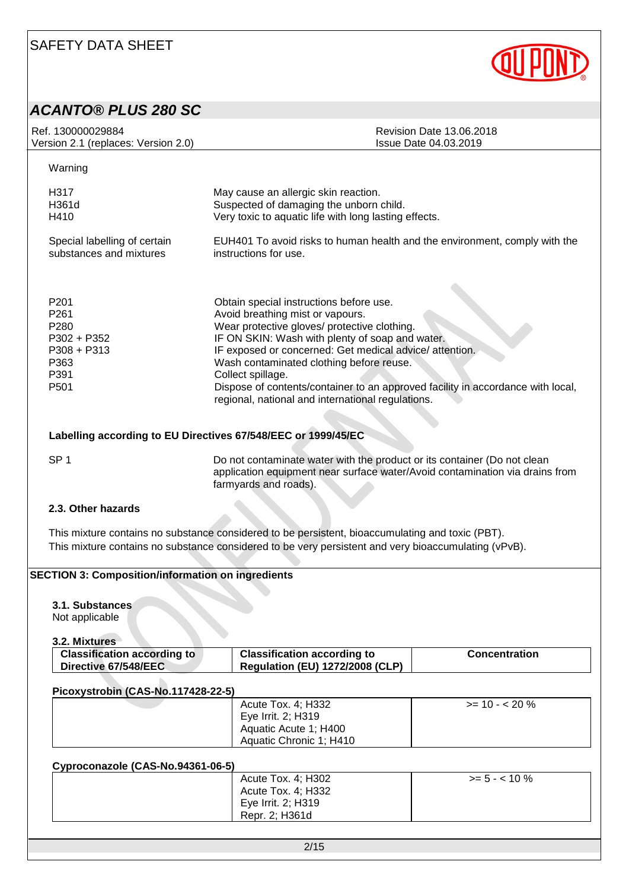

### *ACANTO® PLUS 280 SC*

| Ref. 130000029884                                                                                                              | <b>Revision Date 13.06.2018</b>                                                                                                                                                                                                                                                                                                                                                                                                                   |
|--------------------------------------------------------------------------------------------------------------------------------|---------------------------------------------------------------------------------------------------------------------------------------------------------------------------------------------------------------------------------------------------------------------------------------------------------------------------------------------------------------------------------------------------------------------------------------------------|
| Version 2.1 (replaces: Version 2.0)                                                                                            | Issue Date 04.03.2019                                                                                                                                                                                                                                                                                                                                                                                                                             |
| Warning                                                                                                                        |                                                                                                                                                                                                                                                                                                                                                                                                                                                   |
| H317                                                                                                                           | May cause an allergic skin reaction.                                                                                                                                                                                                                                                                                                                                                                                                              |
| H361d                                                                                                                          | Suspected of damaging the unborn child.                                                                                                                                                                                                                                                                                                                                                                                                           |
| H410                                                                                                                           | Very toxic to aquatic life with long lasting effects.                                                                                                                                                                                                                                                                                                                                                                                             |
| Special labelling of certain                                                                                                   | EUH401 To avoid risks to human health and the environment, comply with the                                                                                                                                                                                                                                                                                                                                                                        |
| substances and mixtures                                                                                                        | instructions for use.                                                                                                                                                                                                                                                                                                                                                                                                                             |
| P <sub>201</sub><br>P <sub>261</sub><br>P <sub>280</sub><br>$P302 + P352$<br>$P308 + P313$<br>P363<br>P391<br>P <sub>501</sub> | Obtain special instructions before use.<br>Avoid breathing mist or vapours.<br>Wear protective gloves/ protective clothing.<br>IF ON SKIN: Wash with plenty of soap and water.<br>IF exposed or concerned: Get medical advice/attention.<br>Wash contaminated clothing before reuse.<br>Collect spillage.<br>Dispose of contents/container to an approved facility in accordance with local,<br>regional, national and international regulations. |

### **Labelling according to EU Directives 67/548/EEC or 1999/45/EC**

SP 1 Do not contaminate water with the product or its container (Do not clean application equipment near surface water/Avoid contamination via drains from farmyards and roads).

#### **2.3. Other hazards**

This mixture contains no substance considered to be persistent, bioaccumulating and toxic (PBT). This mixture contains no substance considered to be very persistent and very bioaccumulating (vPvB).

### **SECTION 3: Composition/information on ingredients**

#### **3.1. Substances**

Not applicable

**3.2. Mixtures**

| <b>Classification according to</b> | <b>Classification according to</b>     | <b>Concentration</b> |
|------------------------------------|----------------------------------------|----------------------|
| Directive 67/548/EEC               | <b>Regulation (EU) 1272/2008 (CLP)</b> |                      |

#### **Picoxystrobin (CAS-No.117428-22-5)**

| Acute Tox. 4; H332<br>Eye Irrit. 2; H319         | $>= 10 - 520%$ |
|--------------------------------------------------|----------------|
| Aquatic Acute 1; H400<br>Aquatic Chronic 1; H410 |                |

#### **Cyproconazole (CAS-No.94361-06-5)**

| - - - | Acute Tox. 4; H302<br>Acute Tox. 4; H332 | $>= 5 - < 10 \%$ |
|-------|------------------------------------------|------------------|
|       | Eye Irrit. 2; H319<br>Repr. 2: H361d     |                  |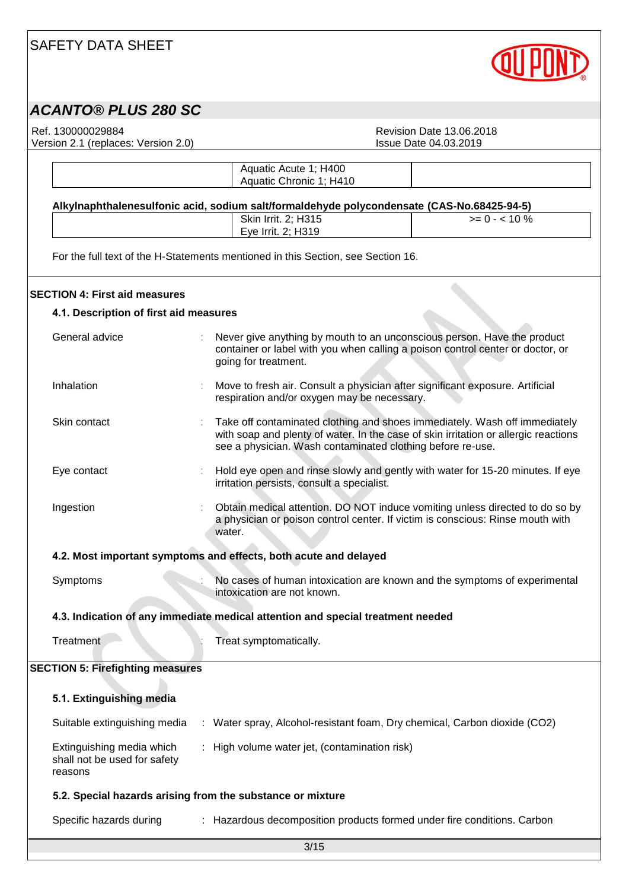

# *ACANTO® PLUS 280 SC*

Version 2.1 (replaces: Version 2.0)

Ref. 130000029884<br>
Version 2.1 (replaces: Version 2.0)<br>
Version 2.1 (replaces: Version 2.0)<br>
Revision Date 04.03.2019

|                                                                      | Aquatic Acute 1; H400                                                                                                        |                                                                                                                                                                   |  |
|----------------------------------------------------------------------|------------------------------------------------------------------------------------------------------------------------------|-------------------------------------------------------------------------------------------------------------------------------------------------------------------|--|
|                                                                      | Aquatic Chronic 1; H410                                                                                                      |                                                                                                                                                                   |  |
|                                                                      | Alkylnaphthalenesulfonic acid, sodium salt/formaldehyde polycondensate (CAS-No.68425-94-5)                                   |                                                                                                                                                                   |  |
|                                                                      | Skin Irrit. 2; H315                                                                                                          | $>= 0 - 10\%$                                                                                                                                                     |  |
|                                                                      | Eye Irrit. 2; H319                                                                                                           |                                                                                                                                                                   |  |
|                                                                      | For the full text of the H-Statements mentioned in this Section, see Section 16.                                             |                                                                                                                                                                   |  |
| <b>SECTION 4: First aid measures</b>                                 |                                                                                                                              |                                                                                                                                                                   |  |
| 4.1. Description of first aid measures                               |                                                                                                                              |                                                                                                                                                                   |  |
| General advice                                                       | Never give anything by mouth to an unconscious person. Have the product<br>going for treatment.                              | container or label with you when calling a poison control center or doctor, or                                                                                    |  |
| Inhalation                                                           | Move to fresh air. Consult a physician after significant exposure. Artificial<br>respiration and/or oxygen may be necessary. |                                                                                                                                                                   |  |
| Skin contact                                                         | see a physician. Wash contaminated clothing before re-use.                                                                   | Take off contaminated clothing and shoes immediately. Wash off immediately<br>with soap and plenty of water. In the case of skin irritation or allergic reactions |  |
| Eye contact                                                          | irritation persists, consult a specialist.                                                                                   | Hold eye open and rinse slowly and gently with water for 15-20 minutes. If eye                                                                                    |  |
| Ingestion                                                            | water.                                                                                                                       | Obtain medical attention. DO NOT induce vomiting unless directed to do so by<br>a physician or poison control center. If victim is conscious: Rinse mouth with    |  |
| 4.2. Most important symptoms and effects, both acute and delayed     |                                                                                                                              |                                                                                                                                                                   |  |
| Symptoms                                                             | intoxication are not known.                                                                                                  | No cases of human intoxication are known and the symptoms of experimental                                                                                         |  |
|                                                                      | 4.3. Indication of any immediate medical attention and special treatment needed                                              |                                                                                                                                                                   |  |
| Treatment                                                            | Treat symptomatically.                                                                                                       |                                                                                                                                                                   |  |
| <b>SECTION 5: Firefighting measures</b>                              |                                                                                                                              |                                                                                                                                                                   |  |
| 5.1. Extinguishing media                                             |                                                                                                                              |                                                                                                                                                                   |  |
| Suitable extinguishing media                                         | : Water spray, Alcohol-resistant foam, Dry chemical, Carbon dioxide (CO2)                                                    |                                                                                                                                                                   |  |
| Extinguishing media which<br>shall not be used for safety<br>reasons | : High volume water jet, (contamination risk)                                                                                |                                                                                                                                                                   |  |
|                                                                      | 5.2. Special hazards arising from the substance or mixture                                                                   |                                                                                                                                                                   |  |
| Specific hazards during                                              | : Hazardous decomposition products formed under fire conditions. Carbon                                                      |                                                                                                                                                                   |  |
|                                                                      |                                                                                                                              |                                                                                                                                                                   |  |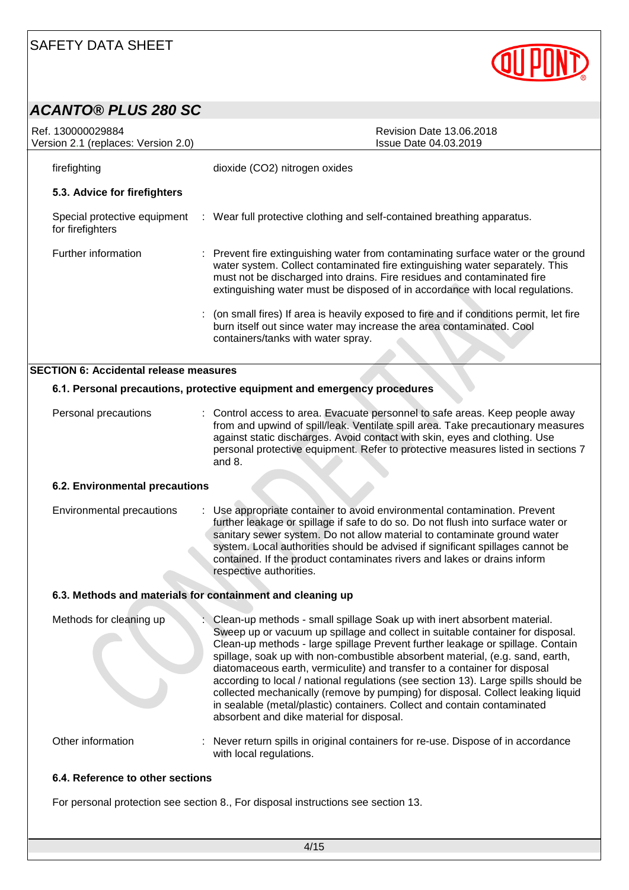

### *ACANTO® PLUS 280 SC*

| Ref. 130000029884<br>Version 2.1 (replaces: Version 2.0)   | <b>Revision Date 13.06.2018</b><br><b>Issue Date 04.03.2019</b>                                                                                                                                                                                                                                                                                                                                                                                                                                                                                                                                                                                                                                              |  |  |  |
|------------------------------------------------------------|--------------------------------------------------------------------------------------------------------------------------------------------------------------------------------------------------------------------------------------------------------------------------------------------------------------------------------------------------------------------------------------------------------------------------------------------------------------------------------------------------------------------------------------------------------------------------------------------------------------------------------------------------------------------------------------------------------------|--|--|--|
| firefighting                                               | dioxide (CO2) nitrogen oxides                                                                                                                                                                                                                                                                                                                                                                                                                                                                                                                                                                                                                                                                                |  |  |  |
| 5.3. Advice for firefighters                               |                                                                                                                                                                                                                                                                                                                                                                                                                                                                                                                                                                                                                                                                                                              |  |  |  |
| for firefighters                                           | Special protective equipment : Wear full protective clothing and self-contained breathing apparatus.                                                                                                                                                                                                                                                                                                                                                                                                                                                                                                                                                                                                         |  |  |  |
| Further information                                        | : Prevent fire extinguishing water from contaminating surface water or the ground<br>water system. Collect contaminated fire extinguishing water separately. This<br>must not be discharged into drains. Fire residues and contaminated fire<br>extinguishing water must be disposed of in accordance with local regulations.                                                                                                                                                                                                                                                                                                                                                                                |  |  |  |
|                                                            | (on small fires) If area is heavily exposed to fire and if conditions permit, let fire<br>burn itself out since water may increase the area contaminated. Cool<br>containers/tanks with water spray.                                                                                                                                                                                                                                                                                                                                                                                                                                                                                                         |  |  |  |
| <b>SECTION 6: Accidental release measures</b>              |                                                                                                                                                                                                                                                                                                                                                                                                                                                                                                                                                                                                                                                                                                              |  |  |  |
|                                                            | 6.1. Personal precautions, protective equipment and emergency procedures                                                                                                                                                                                                                                                                                                                                                                                                                                                                                                                                                                                                                                     |  |  |  |
| Personal precautions                                       | : Control access to area. Evacuate personnel to safe areas. Keep people away<br>from and upwind of spill/leak. Ventilate spill area. Take precautionary measures<br>against static discharges. Avoid contact with skin, eyes and clothing. Use<br>personal protective equipment. Refer to protective measures listed in sections 7<br>and 8.                                                                                                                                                                                                                                                                                                                                                                 |  |  |  |
| 6.2. Environmental precautions                             |                                                                                                                                                                                                                                                                                                                                                                                                                                                                                                                                                                                                                                                                                                              |  |  |  |
| Environmental precautions                                  | : Use appropriate container to avoid environmental contamination. Prevent<br>further leakage or spillage if safe to do so. Do not flush into surface water or<br>sanitary sewer system. Do not allow material to contaminate ground water<br>system. Local authorities should be advised if significant spillages cannot be<br>contained. If the product contaminates rivers and lakes or drains inform<br>respective authorities.                                                                                                                                                                                                                                                                           |  |  |  |
| 6.3. Methods and materials for containment and cleaning up |                                                                                                                                                                                                                                                                                                                                                                                                                                                                                                                                                                                                                                                                                                              |  |  |  |
| Methods for cleaning up                                    | Clean-up methods - small spillage Soak up with inert absorbent material.<br>Sweep up or vacuum up spillage and collect in suitable container for disposal.<br>Clean-up methods - large spillage Prevent further leakage or spillage. Contain<br>spillage, soak up with non-combustible absorbent material, (e.g. sand, earth,<br>diatomaceous earth, vermiculite) and transfer to a container for disposal<br>according to local / national regulations (see section 13). Large spills should be<br>collected mechanically (remove by pumping) for disposal. Collect leaking liquid<br>in sealable (metal/plastic) containers. Collect and contain contaminated<br>absorbent and dike material for disposal. |  |  |  |
| Other information                                          | Never return spills in original containers for re-use. Dispose of in accordance<br>with local regulations.                                                                                                                                                                                                                                                                                                                                                                                                                                                                                                                                                                                                   |  |  |  |
| 6.4. Reference to other sections                           |                                                                                                                                                                                                                                                                                                                                                                                                                                                                                                                                                                                                                                                                                                              |  |  |  |
|                                                            | For personal protection see section 8., For disposal instructions see section 13.                                                                                                                                                                                                                                                                                                                                                                                                                                                                                                                                                                                                                            |  |  |  |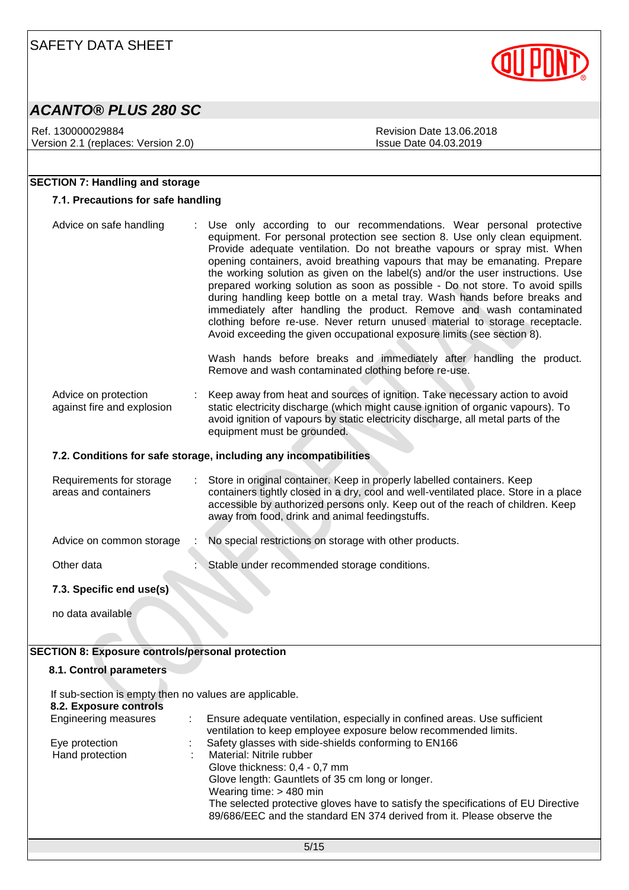# *ACANTO® PLUS 280 SC*

Ref. 130000029884 Revision Date 13.06.2018 Version 2.1 (replaces: Version 2.0) Issue Date 04.03.2019

**SECTION 7: Handling and storage**

**7.1. Precautions for safe handling**

equipment. For personal protection see section 8. Use only clean equipment. Provide adequate ventilation. Do not breathe vapours or spray mist. When

#### opening containers, avoid breathing vapours that may be emanating. Prepare the working solution as given on the label(s) and/or the user instructions. Use prepared working solution as soon as possible - Do not store. To avoid spills during handling keep bottle on a metal tray. Wash hands before breaks and immediately after handling the product. Remove and wash contaminated clothing before re-use. Never return unused material to storage receptacle. Avoid exceeding the given occupational exposure limits (see section 8). Wash hands before breaks and immediately after handling the product. Remove and wash contaminated clothing before re-use. Advice on protection against fire and explosion : Keep away from heat and sources of ignition. Take necessary action to avoid static electricity discharge (which might cause ignition of organic vapours). To avoid ignition of vapours by static electricity discharge, all metal parts of the equipment must be grounded. **7.2. Conditions for safe storage, including any incompatibilities** Requirements for storage areas and containers Store in original container. Keep in properly labelled containers. Keep containers tightly closed in a dry, cool and well-ventilated place. Store in a place

accessible by authorized persons only. Keep out of the reach of children. Keep away from food, drink and animal feedingstuffs. Advice on common storage : No special restrictions on storage with other products. Other data **in the stable under recommended storage conditions.** Stable under recommended storage conditions.

Advice on safe handling : Use only according to our recommendations. Wear personal protective

### **7.3. Specific end use(s)**

no data available

### **SECTION 8: Exposure controls/personal protection**

### **8.1. Control parameters**

If sub-section is empty then no values are applicable. **8.2. Exposure controls**

| <b>Engineering measures</b>       | Ensure adequate ventilation, especially in confined areas. Use sufficient<br>ventilation to keep employee exposure below recommended limits.                                             |
|-----------------------------------|------------------------------------------------------------------------------------------------------------------------------------------------------------------------------------------|
| Eye protection<br>Hand protection | Safety glasses with side-shields conforming to EN166<br>Material: Nitrile rubber<br>Glove thickness: 0,4 - 0,7 mm<br>Glove length: Gauntlets of 35 cm long or longer.                    |
|                                   | Wearing time: $> 480$ min<br>The selected protective gloves have to satisfy the specifications of EU Directive<br>89/686/EEC and the standard EN 374 derived from it. Please observe the |

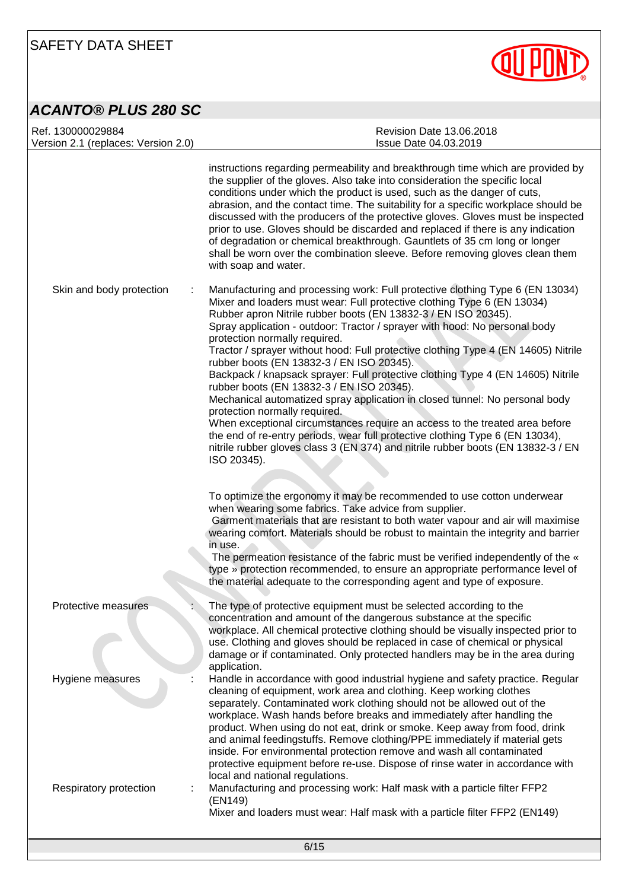

# *ACANTO® PLUS 280 SC*

| Ref. 130000029884<br>Version 2.1 (replaces: Version 2.0) | <b>Revision Date 13.06.2018</b><br>Issue Date 04.03.2019                                                                                                                                                                                                                                                                                                                                                                                                                                                                                                                                                                                                                                                                                                                                                                                                                                                                                                                                        |
|----------------------------------------------------------|-------------------------------------------------------------------------------------------------------------------------------------------------------------------------------------------------------------------------------------------------------------------------------------------------------------------------------------------------------------------------------------------------------------------------------------------------------------------------------------------------------------------------------------------------------------------------------------------------------------------------------------------------------------------------------------------------------------------------------------------------------------------------------------------------------------------------------------------------------------------------------------------------------------------------------------------------------------------------------------------------|
|                                                          | instructions regarding permeability and breakthrough time which are provided by<br>the supplier of the gloves. Also take into consideration the specific local<br>conditions under which the product is used, such as the danger of cuts,<br>abrasion, and the contact time. The suitability for a specific workplace should be<br>discussed with the producers of the protective gloves. Gloves must be inspected<br>prior to use. Gloves should be discarded and replaced if there is any indication<br>of degradation or chemical breakthrough. Gauntlets of 35 cm long or longer<br>shall be worn over the combination sleeve. Before removing gloves clean them<br>with soap and water.                                                                                                                                                                                                                                                                                                    |
| Skin and body protection                                 | Manufacturing and processing work: Full protective clothing Type 6 (EN 13034)<br>Mixer and loaders must wear: Full protective clothing Type 6 (EN 13034)<br>Rubber apron Nitrile rubber boots (EN 13832-3 / EN ISO 20345).<br>Spray application - outdoor: Tractor / sprayer with hood: No personal body<br>protection normally required.<br>Tractor / sprayer without hood: Full protective clothing Type 4 (EN 14605) Nitrile<br>rubber boots (EN 13832-3 / EN ISO 20345).<br>Backpack / knapsack sprayer: Full protective clothing Type 4 (EN 14605) Nitrile<br>rubber boots (EN 13832-3 / EN ISO 20345).<br>Mechanical automatized spray application in closed tunnel: No personal body<br>protection normally required.<br>When exceptional circumstances require an access to the treated area before<br>the end of re-entry periods, wear full protective clothing Type 6 (EN 13034),<br>nitrile rubber gloves class 3 (EN 374) and nitrile rubber boots (EN 13832-3 / EN<br>ISO 20345). |
|                                                          | To optimize the ergonomy it may be recommended to use cotton underwear<br>when wearing some fabrics. Take advice from supplier.<br>Garment materials that are resistant to both water vapour and air will maximise<br>wearing comfort. Materials should be robust to maintain the integrity and barrier<br>in use.<br>The permeation resistance of the fabric must be verified independently of the «<br>type » protection recommended, to ensure an appropriate performance level of<br>the material adequate to the corresponding agent and type of exposure.                                                                                                                                                                                                                                                                                                                                                                                                                                 |
| Protective measures                                      | The type of protective equipment must be selected according to the<br>concentration and amount of the dangerous substance at the specific<br>workplace. All chemical protective clothing should be visually inspected prior to<br>use. Clothing and gloves should be replaced in case of chemical or physical<br>damage or if contaminated. Only protected handlers may be in the area during<br>application.                                                                                                                                                                                                                                                                                                                                                                                                                                                                                                                                                                                   |
| Hygiene measures                                         | Handle in accordance with good industrial hygiene and safety practice. Regular<br>cleaning of equipment, work area and clothing. Keep working clothes<br>separately. Contaminated work clothing should not be allowed out of the<br>workplace. Wash hands before breaks and immediately after handling the<br>product. When using do not eat, drink or smoke. Keep away from food, drink<br>and animal feedingstuffs. Remove clothing/PPE immediately if material gets<br>inside. For environmental protection remove and wash all contaminated<br>protective equipment before re-use. Dispose of rinse water in accordance with                                                                                                                                                                                                                                                                                                                                                                |
| Respiratory protection                                   | local and national regulations.<br>Manufacturing and processing work: Half mask with a particle filter FFP2<br>(EN149)<br>Mixer and loaders must wear: Half mask with a particle filter FFP2 (EN149)                                                                                                                                                                                                                                                                                                                                                                                                                                                                                                                                                                                                                                                                                                                                                                                            |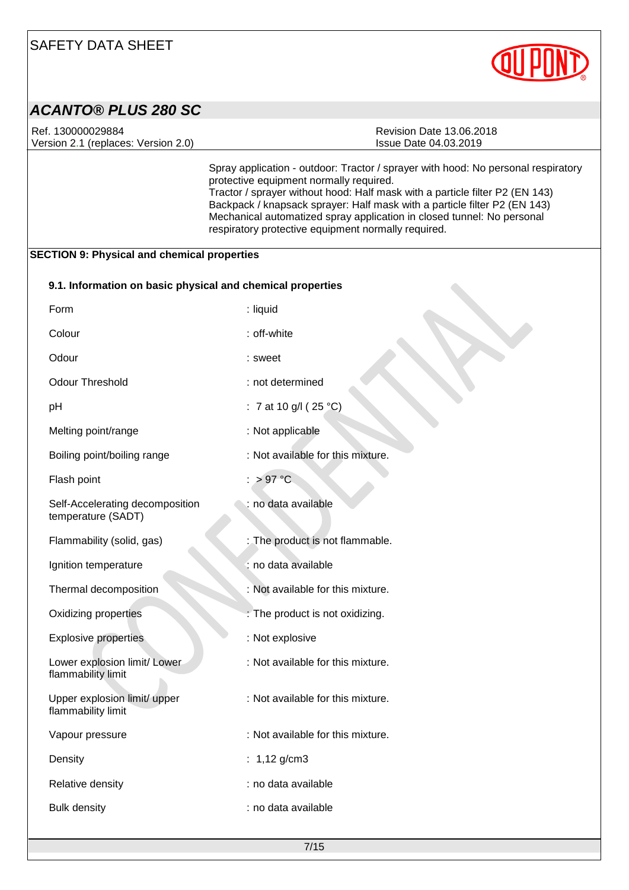

| <b>ACANTO® PLUS 280 SC</b>                                 |                                                                                                                                                                                                                                                                                                                                                                                                                            |
|------------------------------------------------------------|----------------------------------------------------------------------------------------------------------------------------------------------------------------------------------------------------------------------------------------------------------------------------------------------------------------------------------------------------------------------------------------------------------------------------|
| Ref. 130000029884<br>Version 2.1 (replaces: Version 2.0)   | <b>Revision Date 13.06.2018</b><br>Issue Date 04.03.2019                                                                                                                                                                                                                                                                                                                                                                   |
|                                                            | Spray application - outdoor: Tractor / sprayer with hood: No personal respiratory<br>protective equipment normally required.<br>Tractor / sprayer without hood: Half mask with a particle filter P2 (EN 143)<br>Backpack / knapsack sprayer: Half mask with a particle filter P2 (EN 143)<br>Mechanical automatized spray application in closed tunnel: No personal<br>respiratory protective equipment normally required. |
| <b>SECTION 9: Physical and chemical properties</b>         |                                                                                                                                                                                                                                                                                                                                                                                                                            |
| 9.1. Information on basic physical and chemical properties |                                                                                                                                                                                                                                                                                                                                                                                                                            |
| Form                                                       | : liquid                                                                                                                                                                                                                                                                                                                                                                                                                   |
| Colour                                                     | : off-white                                                                                                                                                                                                                                                                                                                                                                                                                |
| Odour                                                      | : sweet                                                                                                                                                                                                                                                                                                                                                                                                                    |
| <b>Odour Threshold</b>                                     | : not determined                                                                                                                                                                                                                                                                                                                                                                                                           |
| pH                                                         | : 7 at 10 g/l (25 $^{\circ}$ C)                                                                                                                                                                                                                                                                                                                                                                                            |
| Melting point/range                                        | : Not applicable                                                                                                                                                                                                                                                                                                                                                                                                           |
| Boiling point/boiling range                                | : Not available for this mixture.                                                                                                                                                                                                                                                                                                                                                                                          |
| Flash point                                                | $:$ > 97 °C                                                                                                                                                                                                                                                                                                                                                                                                                |
| Self-Accelerating decomposition<br>temperature (SADT)      | : no data available                                                                                                                                                                                                                                                                                                                                                                                                        |
| Flammability (solid, gas)                                  | : The product is not flammable.                                                                                                                                                                                                                                                                                                                                                                                            |
| Ignition temperature                                       | : no data available                                                                                                                                                                                                                                                                                                                                                                                                        |
| Thermal decomposition                                      | : Not available for this mixture.                                                                                                                                                                                                                                                                                                                                                                                          |
| Oxidizing properties                                       | : The product is not oxidizing.                                                                                                                                                                                                                                                                                                                                                                                            |
| <b>Explosive properties</b>                                | : Not explosive                                                                                                                                                                                                                                                                                                                                                                                                            |
| Lower explosion limit/ Lower<br>flammability limit         | : Not available for this mixture.                                                                                                                                                                                                                                                                                                                                                                                          |
| Upper explosion limit/ upper<br>flammability limit         | : Not available for this mixture.                                                                                                                                                                                                                                                                                                                                                                                          |
| Vapour pressure                                            | : Not available for this mixture.                                                                                                                                                                                                                                                                                                                                                                                          |
| Density                                                    | : $1,12$ g/cm3                                                                                                                                                                                                                                                                                                                                                                                                             |
| Relative density                                           | : no data available                                                                                                                                                                                                                                                                                                                                                                                                        |

Bulk density **intervalse in the contract of the contract of the contract of the contract of the contract of the contract of the contract of the contract of the contract of the contract of the contract of the contract of th**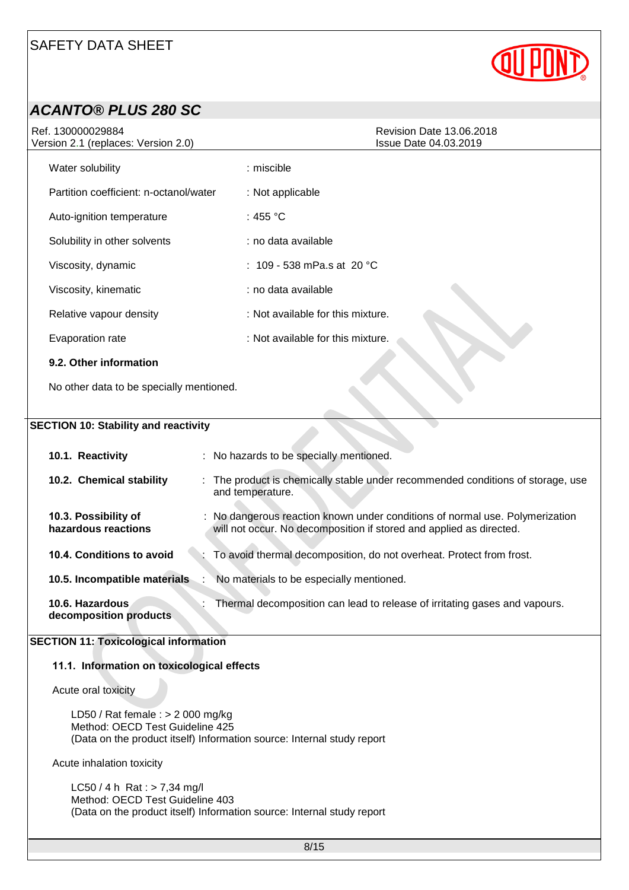

| <b>ACANTO® PLUS 280 SC</b>                                                                 |                                                                                                                                                   |
|--------------------------------------------------------------------------------------------|---------------------------------------------------------------------------------------------------------------------------------------------------|
| Ref. 130000029884<br>Version 2.1 (replaces: Version 2.0)                                   | <b>Revision Date 13.06.2018</b><br>Issue Date 04.03.2019                                                                                          |
| Water solubility                                                                           | : miscible                                                                                                                                        |
| Partition coefficient: n-octanol/water                                                     | : Not applicable                                                                                                                                  |
| Auto-ignition temperature                                                                  | : 455 $^{\circ}$ C                                                                                                                                |
| Solubility in other solvents                                                               | : no data available                                                                                                                               |
| Viscosity, dynamic                                                                         | : 109 - 538 mPa.s at 20 °C                                                                                                                        |
| Viscosity, kinematic                                                                       | : no data available                                                                                                                               |
| Relative vapour density                                                                    | : Not available for this mixture.                                                                                                                 |
| Evaporation rate                                                                           | : Not available for this mixture.                                                                                                                 |
| 9.2. Other information                                                                     |                                                                                                                                                   |
| No other data to be specially mentioned.                                                   |                                                                                                                                                   |
|                                                                                            |                                                                                                                                                   |
| <b>SECTION 10: Stability and reactivity</b>                                                |                                                                                                                                                   |
| 10.1. Reactivity                                                                           | : No hazards to be specially mentioned.                                                                                                           |
| 10.2. Chemical stability                                                                   | The product is chemically stable under recommended conditions of storage, use<br>and temperature.                                                 |
| 10.3. Possibility of<br>hazardous reactions                                                | No dangerous reaction known under conditions of normal use. Polymerization<br>will not occur. No decomposition if stored and applied as directed. |
| 10.4. Conditions to avoid                                                                  | To avoid thermal decomposition, do not overheat. Protect from frost.                                                                              |
| 10.5. Incompatible materials                                                               | No materials to be especially mentioned.                                                                                                          |
| 10.6. Hazardous<br>decomposition products                                                  | Thermal decomposition can lead to release of irritating gases and vapours.                                                                        |
| <b>SECTION 11: Toxicological information</b><br>11.1. Information on toxicological effects |                                                                                                                                                   |

Acute oral toxicity

LD50 / Rat female : > 2 000 mg/kg Method: OECD Test Guideline 425 (Data on the product itself) Information source: Internal study report

Acute inhalation toxicity

 $LC50 / 4 h$  Rat : > 7,34 mg/l Method: OECD Test Guideline 403 (Data on the product itself) Information source: Internal study report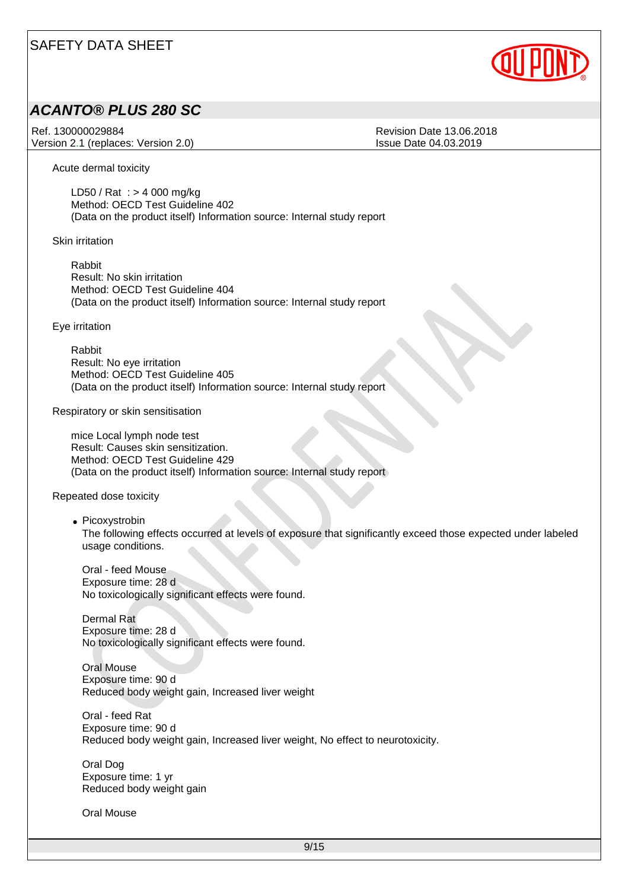

### *ACANTO® PLUS 280 SC*

Ref. 130000029884 Revision Date 13.06.2018 Version 2.1 (replaces: Version 2.0) Issue Date 04.03.2019

Acute dermal toxicity

LD50 / Rat : > 4 000 mg/kg Method: OECD Test Guideline 402 (Data on the product itself) Information source: Internal study report

Skin irritation

Rabbit Result: No skin irritation Method: OECD Test Guideline 404 (Data on the product itself) Information source: Internal study report

Eye irritation

Rabbit Result: No eye irritation Method: OECD Test Guideline 405 (Data on the product itself) Information source: Internal study report

Respiratory or skin sensitisation

mice Local lymph node test Result: Causes skin sensitization. Method: OECD Test Guideline 429 (Data on the product itself) Information source: Internal study report

Repeated dose toxicity

• Picoxystrobin The following effects occurred at levels of exposure that significantly exceed those expected under labeled usage conditions.

Oral - feed Mouse Exposure time: 28 d No toxicologically significant effects were found.

Dermal Rat Exposure time: 28 d No toxicologically significant effects were found.

Oral Mouse Exposure time: 90 d Reduced body weight gain, Increased liver weight

Oral - feed Rat Exposure time: 90 d Reduced body weight gain, Increased liver weight, No effect to neurotoxicity.

Oral Dog Exposure time: 1 yr Reduced body weight gain

Oral Mouse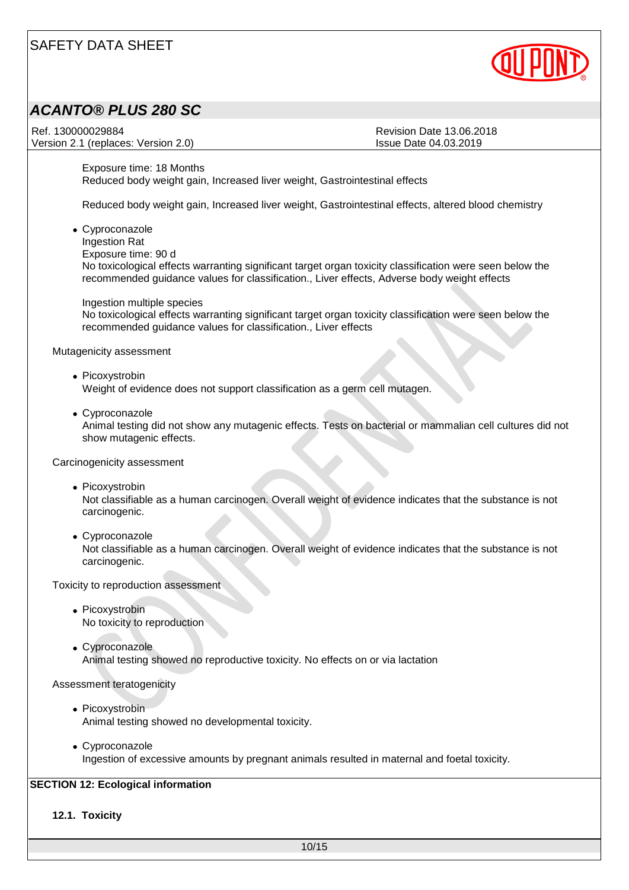

### *ACANTO® PLUS 280 SC*

Ref. 130000029884 Revision Date 13.06.2018 Version 2.1 (replaces: Version 2.0) Issue Date 04.03.2019

Exposure time: 18 Months Reduced body weight gain, Increased liver weight, Gastrointestinal effects

Reduced body weight gain, Increased liver weight, Gastrointestinal effects, altered blood chemistry

• Cyproconazole Ingestion Rat Exposure time: 90 d No toxicological effects warranting significant target organ toxicity classification were seen below the recommended guidance values for classification., Liver effects, Adverse body weight effects

Ingestion multiple species No toxicological effects warranting significant target organ toxicity classification were seen below the recommended guidance values for classification., Liver effects

Mutagenicity assessment

- Picoxystrobin Weight of evidence does not support classification as a germ cell mutagen.
- Cyproconazole Animal testing did not show any mutagenic effects. Tests on bacterial or mammalian cell cultures did not show mutagenic effects.

Carcinogenicity assessment

• Picoxystrobin

Not classifiable as a human carcinogen. Overall weight of evidence indicates that the substance is not carcinogenic.

• Cyproconazole Not classifiable as a human carcinogen. Overall weight of evidence indicates that the substance is not carcinogenic.

Toxicity to reproduction assessment

- Picoxystrobin No toxicity to reproduction
- Cyproconazole Animal testing showed no reproductive toxicity. No effects on or via lactation

Assessment teratogenicity

- Picoxystrobin Animal testing showed no developmental toxicity.
- Cyproconazole Ingestion of excessive amounts by pregnant animals resulted in maternal and foetal toxicity.

### **SECTION 12: Ecological information**

**12.1. Toxicity**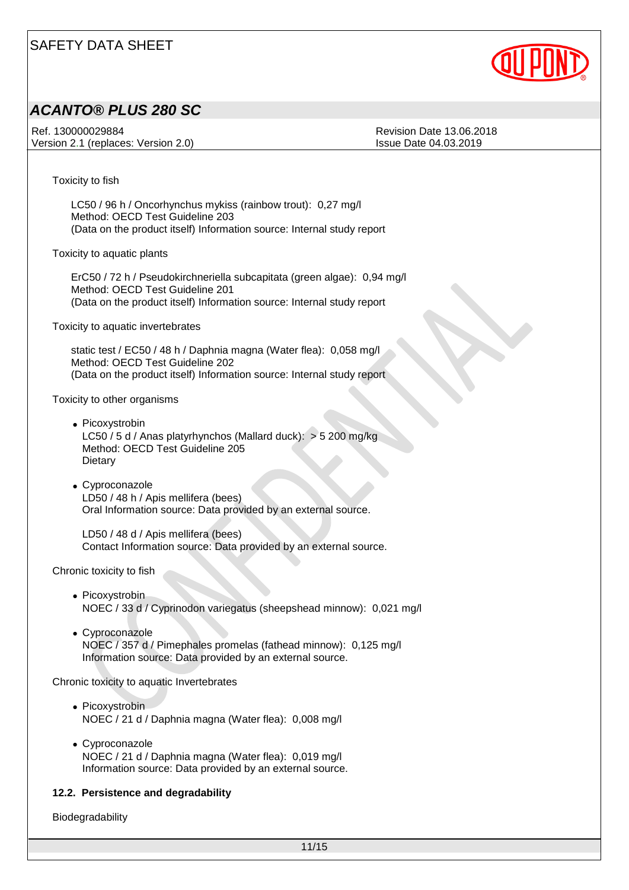

### *ACANTO® PLUS 280 SC*

Ref. 130000029884 Revision Date 13.06.2018 Version 2.1 (replaces: Version 2.0) Issue Date 04.03.2019

Toxicity to fish

LC50 / 96 h / Oncorhynchus mykiss (rainbow trout): 0,27 mg/l Method: OECD Test Guideline 203 (Data on the product itself) Information source: Internal study report

Toxicity to aquatic plants

ErC50 / 72 h / Pseudokirchneriella subcapitata (green algae): 0,94 mg/l Method: OECD Test Guideline 201 (Data on the product itself) Information source: Internal study report

Toxicity to aquatic invertebrates

static test / EC50 / 48 h / Daphnia magna (Water flea): 0,058 mg/l Method: OECD Test Guideline 202 (Data on the product itself) Information source: Internal study report

Toxicity to other organisms

- Picoxystrobin LC50 / 5 d / Anas platyrhynchos (Mallard duck): > 5 200 mg/kg Method: OECD Test Guideline 205 **Dietary**
- Cyproconazole LD50 / 48 h / Apis mellifera (bees) Oral Information source: Data provided by an external source.

LD50 / 48 d / Apis mellifera (bees) Contact Information source: Data provided by an external source.

Chronic toxicity to fish

- Picoxystrobin NOEC / 33 d / Cyprinodon variegatus (sheepshead minnow): 0,021 mg/l
- Cyproconazole NOEC / 357 d / Pimephales promelas (fathead minnow): 0,125 mg/l Information source: Data provided by an external source.

Chronic toxicity to aquatic Invertebrates

- Picoxystrobin NOEC / 21 d / Daphnia magna (Water flea): 0,008 mg/l
- Cyproconazole NOEC / 21 d / Daphnia magna (Water flea): 0,019 mg/l Information source: Data provided by an external source.

#### **12.2. Persistence and degradability**

Biodegradability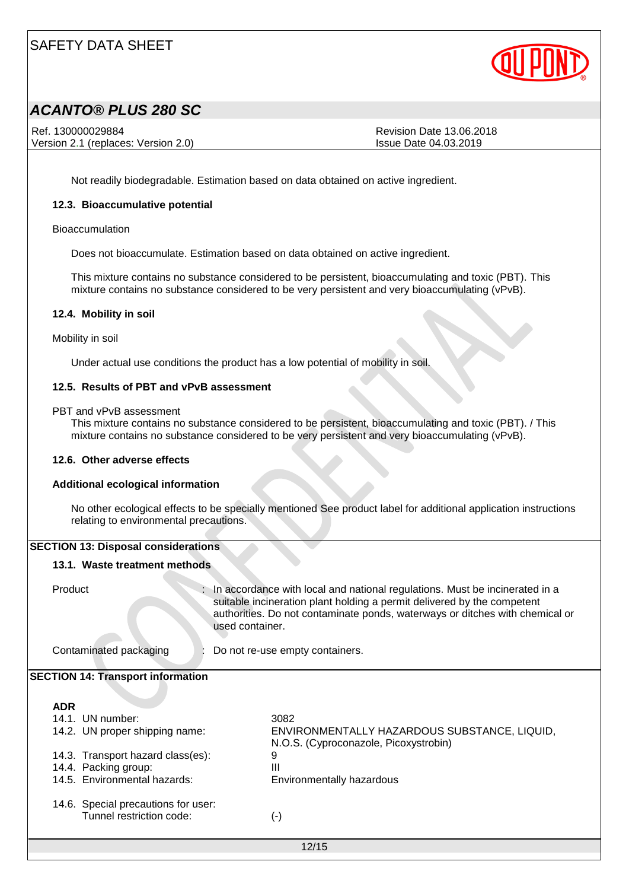

## *ACANTO® PLUS 280 SC*

Ref. 130000029884 Revision Date 13.06.2018 Version 2.1 (replaces: Version 2.0) Issue Date 04.03.2019

Not readily biodegradable. Estimation based on data obtained on active ingredient.

#### **12.3. Bioaccumulative potential**

Bioaccumulation

Does not bioaccumulate. Estimation based on data obtained on active ingredient.

This mixture contains no substance considered to be persistent, bioaccumulating and toxic (PBT). This mixture contains no substance considered to be very persistent and very bioaccumulating (vPvB).

#### **12.4. Mobility in soil**

Mobility in soil

Under actual use conditions the product has a low potential of mobility in soil.

#### **12.5. Results of PBT and vPvB assessment**

PBT and vPvB assessment

This mixture contains no substance considered to be persistent, bioaccumulating and toxic (PBT). / This mixture contains no substance considered to be very persistent and very bioaccumulating (vPvB).

#### **12.6. Other adverse effects**

#### **Additional ecological information**

No other ecological effects to be specially mentioned See product label for additional application instructions relating to environmental precautions.

#### **SECTION 13: Disposal considerations**

#### **13.1. Waste treatment methods**

Product : In accordance with local and national regulations. Must be incinerated in a suitable incineration plant holding a permit delivered by the competent authorities. Do not contaminate ponds, waterways or ditches with chemical or used container.

Contaminated packaging : Do not re-use empty containers.

#### **SECTION 14: Transport information**

#### **ADR**

| 14.1. UN number:                                                | 3082                                                                                  |
|-----------------------------------------------------------------|---------------------------------------------------------------------------------------|
| 14.2. UN proper shipping name:                                  | ENVIRONMENTALLY HAZARDOUS SUBSTANCE, LIQUID,<br>N.O.S. (Cyproconazole, Picoxystrobin) |
| 14.3. Transport hazard class(es):                               | 9                                                                                     |
| 14.4. Packing group:                                            | Ш                                                                                     |
| 14.5. Environmental hazards:                                    | Environmentally hazardous                                                             |
| 14.6. Special precautions for user:<br>Tunnel restriction code: | $\left( -\right)$                                                                     |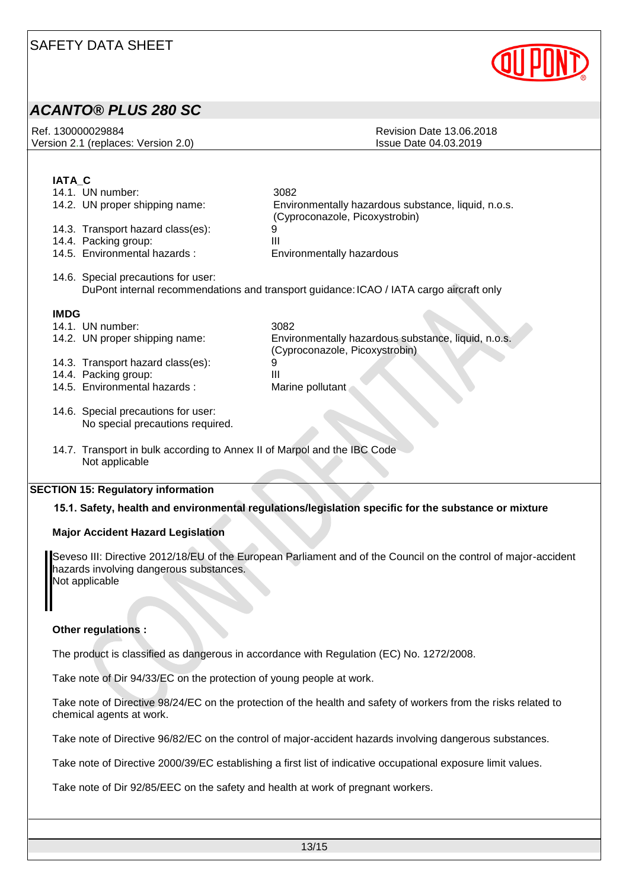

### *ACANTO® PLUS 280 SC*

| Ref. 130000029884                   | Revision Date 13.06.2018 |
|-------------------------------------|--------------------------|
| Version 2.1 (replaces: Version 2.0) | lssue Date 04.03.2019    |
|                                     |                          |

### **IATA\_C**

|             | 14.1. UN number:                                                                           | 3082                                                                                    |
|-------------|--------------------------------------------------------------------------------------------|-----------------------------------------------------------------------------------------|
|             | 14.2. UN proper shipping name:                                                             | Environmentally hazardous substance, liquid, n.o.s.<br>(Cyproconazole, Picoxystrobin)   |
|             | 14.3. Transport hazard class(es):                                                          |                                                                                         |
|             | 14.4. Packing group:                                                                       | Ш                                                                                       |
|             | 14.5. Environmental hazards:                                                               | Environmentally hazardous                                                               |
|             | 14.6. Special precautions for user:                                                        | DuPont internal recommendations and transport guidance: ICAO / IATA cargo aircraft only |
| <b>IMDG</b> |                                                                                            |                                                                                         |
|             | 14.1. UN number:                                                                           | 3082                                                                                    |
|             | 14.2. UN proper shipping name:                                                             | Environmentally hazardous substance, liquid, n.o.s.<br>(Cyproconazole, Picoxystrobin)   |
|             | 14.3. Transport hazard class(es):                                                          | 9                                                                                       |
|             | 14.4. Packing group:                                                                       | Ш                                                                                       |
|             | 14.5. Environmental hazards:                                                               | Marine pollutant                                                                        |
|             | 14.6. Special precautions for user:<br>No special precautions required.                    |                                                                                         |
|             | 14.7. Transport in bulk according to Annex II of Marpol and the IBC Code<br>Not applicable |                                                                                         |

#### **SECTION 15: Regulatory information**

#### **15.1. Safety, health and environmental regulations/legislation specific for the substance or mixture**

#### **Major Accident Hazard Legislation**

Seveso III: Directive 2012/18/EU of the European Parliament and of the Council on the control of major-accident hazards involving dangerous substances. Not applicable

### **Other regulations :**

The product is classified as dangerous in accordance with Regulation (EC) No. 1272/2008.

Take note of Dir 94/33/EC on the protection of young people at work.

Take note of Directive 98/24/EC on the protection of the health and safety of workers from the risks related to chemical agents at work.

Take note of Directive 96/82/EC on the control of major-accident hazards involving dangerous substances.

Take note of Directive 2000/39/EC establishing a first list of indicative occupational exposure limit values.

Take note of Dir 92/85/EEC on the safety and health at work of pregnant workers.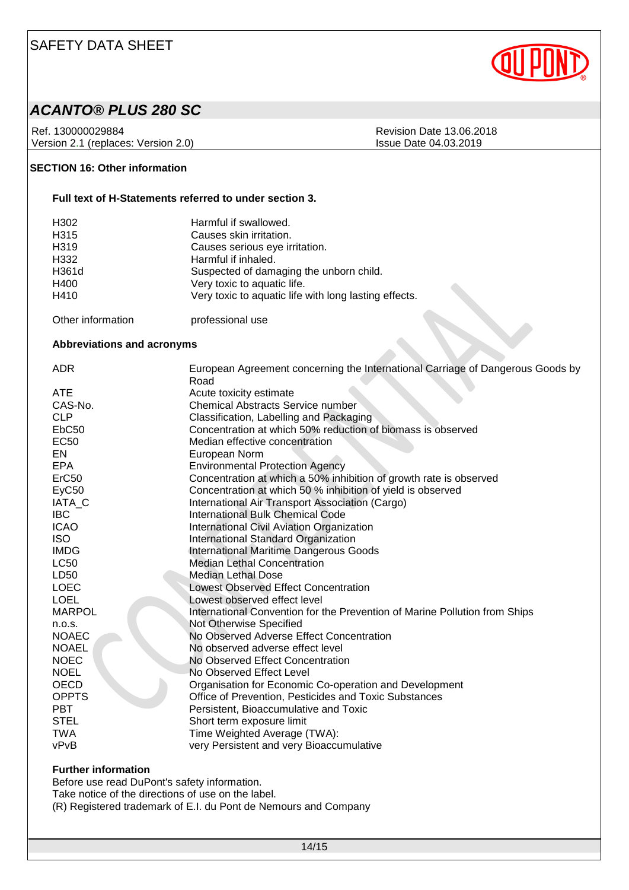

### *ACANTO® PLUS 280 SC*

Ref. 130000029884<br>
Version 2.1 (replaces: Version 2.0)<br>
Version 2.1 (replaces: Version 2.0)<br>
Revision Date 04.03.2019 Version 2.1 (replaces: Version 2.0)

### **SECTION 16: Other information**

#### **Full text of H-Statements referred to under section 3.**

| H302<br>H315<br>H319<br>H332<br>H361d | Harmful if swallowed.<br>Causes skin irritation.<br>Causes serious eye irritation.<br>Harmful if inhaled.<br>Suspected of damaging the unborn child. |
|---------------------------------------|------------------------------------------------------------------------------------------------------------------------------------------------------|
| H400                                  | Very toxic to aquatic life.                                                                                                                          |
| H410                                  | Very toxic to aquatic life with long lasting effects.                                                                                                |
|                                       |                                                                                                                                                      |

Other information **professional use** 

#### **Abbreviations and acronyms**

| <b>ADR</b>        | European Agreement concerning the International Carriage of Dangerous Goods by<br>Road |
|-------------------|----------------------------------------------------------------------------------------|
| <b>ATE</b>        | Acute toxicity estimate                                                                |
| CAS-No.           | <b>Chemical Abstracts Service number</b>                                               |
| <b>CLP</b>        | Classification, Labelling and Packaging                                                |
| EbC <sub>50</sub> | Concentration at which 50% reduction of biomass is observed                            |
| <b>EC50</b>       | Median effective concentration                                                         |
| EN                | European Norm                                                                          |
| <b>EPA</b>        | <b>Environmental Protection Agency</b>                                                 |
| ErC <sub>50</sub> | Concentration at which a 50% inhibition of growth rate is observed                     |
| EyC50             | Concentration at which 50 % inhibition of yield is observed                            |
| IATA_C            | International Air Transport Association (Cargo)                                        |
| <b>IBC</b>        | <b>International Bulk Chemical Code</b>                                                |
| <b>ICAO</b>       | International Civil Aviation Organization                                              |
| <b>ISO</b>        | International Standard Organization                                                    |
| <b>IMDG</b>       | International Maritime Dangerous Goods                                                 |
| <b>LC50</b>       | <b>Median Lethal Concentration</b>                                                     |
| LD50              | <b>Median Lethal Dose</b>                                                              |
| <b>LOEC</b>       | <b>Lowest Observed Effect Concentration</b>                                            |
| <b>LOEL</b>       | Lowest observed effect level                                                           |
| <b>MARPOL</b>     | International Convention for the Prevention of Marine Pollution from Ships             |
| n.o.s.            | Not Otherwise Specified                                                                |
| <b>NOAEC</b>      | No Observed Adverse Effect Concentration                                               |
| <b>NOAEL</b>      | No observed adverse effect level                                                       |
| <b>NOEC</b>       | No Observed Effect Concentration                                                       |
| <b>NOEL</b>       | No Observed Effect Level                                                               |
| <b>OECD</b>       | Organisation for Economic Co-operation and Development                                 |
| <b>OPPTS</b>      | Office of Prevention, Pesticides and Toxic Substances                                  |
| <b>PBT</b>        | Persistent, Bioaccumulative and Toxic                                                  |
| <b>STEL</b>       | Short term exposure limit                                                              |
| <b>TWA</b>        | Time Weighted Average (TWA):                                                           |
| vPvB              | very Persistent and very Bioaccumulative                                               |

#### **Further information**

Before use read DuPont's safety information.

Take notice of the directions of use on the label.

(R) Registered trademark of E.I. du Pont de Nemours and Company